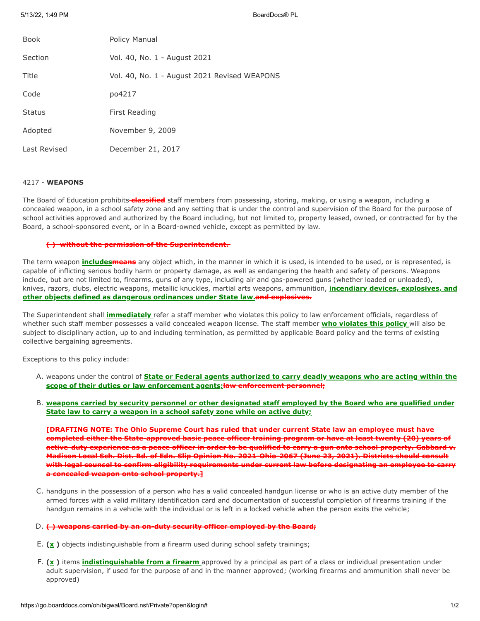5/13/22, 1:49 PM BoardDocs® PL

| <b>Book</b>   | Policy Manual                                |
|---------------|----------------------------------------------|
| Section       | Vol. 40, No. 1 - August 2021                 |
| Title         | Vol. 40, No. 1 - August 2021 Revised WEAPONS |
| Code          | po4217                                       |
| <b>Status</b> | First Reading                                |
| Adopted       | November 9, 2009                             |
| Last Revised  | December 21, 2017                            |

# 4217 - **WEAPONS**

The Board of Education prohibits **classified** staff members from possessing, storing, making, or using a weapon, including a concealed weapon, in a school safety zone and any setting that is under the control and supervision of the Board for the purpose of school activities approved and authorized by the Board including, but not limited to, property leased, owned, or contracted for by the Board, a school-sponsored event, or in a Board-owned vehicle, except as permitted by law.

## **( ) without the permission of the Superintendent.**

The term weapon **includesmeans** any object which, in the manner in which it is used, is intended to be used, or is represented, is capable of inflicting serious bodily harm or property damage, as well as endangering the health and safety of persons. Weapons include, but are not limited to, firearms, guns of any type, including air and gas-powered guns (whether loaded or unloaded), knives, razors, clubs, electric weapons, metallic knuckles, martial arts weapons, ammunition, **incendiary devices, explosives, and other objects defined as dangerous ordinances under State law.and explosives.**

The Superintendent shall **immediately** refer a staff member who violates this policy to law enforcement officials, regardless of whether such staff member possesses a valid concealed weapon license. The staff member **who violates this policy** will also be subject to disciplinary action, up to and including termination, as permitted by applicable Board policy and the terms of existing collective bargaining agreements.

Exceptions to this policy include:

- A. weapons under the control of **State or Federal agents authorized to carry deadly weapons who are acting within the scope of their duties or law enforcement agents;law enforcement personnel;**
- B. **weapons carried by security personnel or other designated staff employed by the Board who are qualified under State law to carry a weapon in a school safety zone while on active duty;**

**[DRAFTING NOTE: The Ohio Supreme Court has ruled that under current State law an employee must have completed either the State-approved basic peace officer training program or have at least twenty (20) years of active-duty experience as a peace officer in order to be qualified to carry a gun onto school property. Gabbard v. Madison Local Sch. Dist. Bd. of Edn. Slip Opinion No. 2021-Ohio-2067 (June 23, 2021). Districts should consult with legal counsel to confirm eligibility requirements under current law before designating an employee to carry a concealed weapon onto school property.]**

C. handguns in the possession of a person who has a valid concealed handgun license or who is an active duty member of the armed forces with a valid military identification card and documentation of successful completion of firearms training if the handgun remains in a vehicle with the individual or is left in a locked vehicle when the person exits the vehicle;

### D. **( ) weapons carried by an on-duty security officer employed by the Board;**

- E. **(x )** objects indistinguishable from a firearm used during school safety trainings;
- F. **(x )** items **indistinguishable from a firearm** approved by a principal as part of a class or individual presentation under adult supervision, if used for the purpose of and in the manner approved; (working firearms and ammunition shall never be approved)